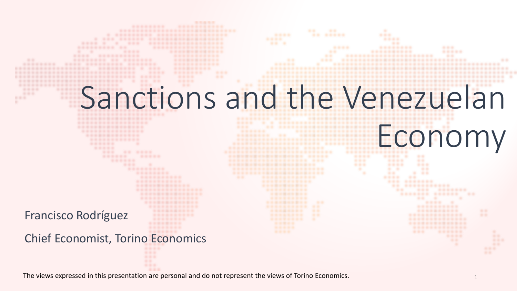# Sanctions and the Venezuelan

Economy

.......................

Francisco Rodríguez

Chief Economist, Torino Economics

**\*\*\*\*\*\*\*\*\*\*\*\*\*\*\*\*\*** ................

. ...

-------

.... . **.......... ..** 

- 8

.. ........

...

The views expressed in this presentation are personal and do not represent the views of Torino Economics. 1

.............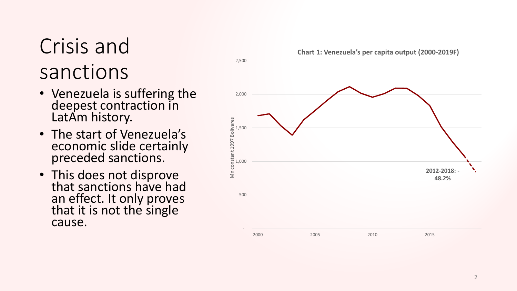### Crisis and sanctions

- Venezuela is suffering the deepest contraction in LatAm history.
- The start of Venezuela's economic slide certainly preceded sanctions.
- This does not disprove<br>that sanctions have had an effect. It only proves that it is not the single cause.

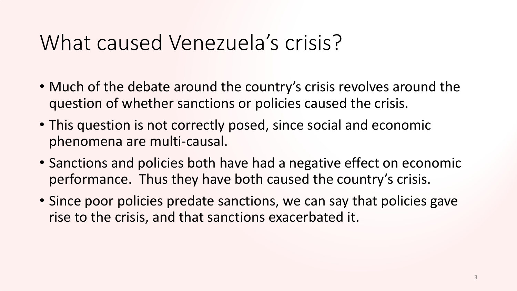#### What caused Venezuela's crisis?

- Much of the debate around the country's crisis revolves around the question of whether sanctions or policies caused the crisis.
- This question is not correctly posed, since social and economic phenomena are multi-causal.
- Sanctions and policies both have had a negative effect on economic performance. Thus they have both caused the country's crisis.
- Since poor policies predate sanctions, we can say that policies gave rise to the crisis, and that sanctions exacerbated it.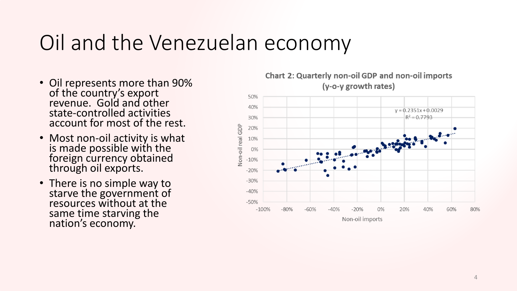#### Oil and the Venezuelan economy

- Oil represents more than 90% of the country's export revenue. Gold and other state-controlled activities account for most of the rest.
- Most non-oil activity is what is made possible with the foreign currency obtained through oil exports.
- There is no simple way to starve the government of resources without at the same time starving the nation's economy.



#### **Chart 2: Quarterly non-oil GDP and non-oil imports** (y-o-y growth rates)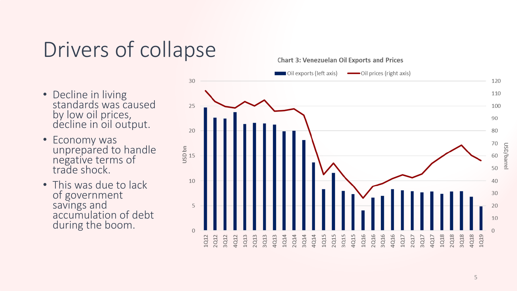#### Drivers of collapse

- Decline in living standards was caused by low oil prices, décline in oil output.
- Economy was unprepared to handle negative terms of trade shock.
- This was due to lack of government savings and accumulation of debt during the boom.

Chart 3: Venezuelan Oil Exports and Prices

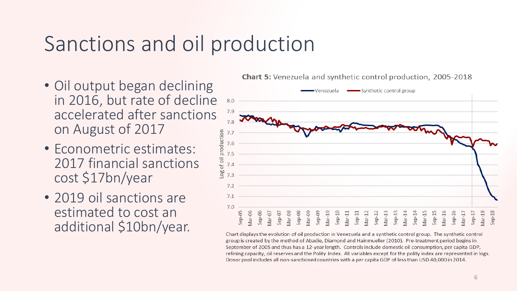### Sanctions and oil production

- Oil output began declining in 2016, but rate of decline accelerated after sanctions on August of 2017
- Econometric estimates: 2017 financial sanctions cost \$17bn/year
- 2019 oil sanctions are estimated to cost an additional \$10bn/year.

**Chart 5:** Venezuela and synthetic control production, 2005-2018



Chart displays the evolution of oil production in Venezuela and a synthetic control group. The synthetic control group is created by the method of Abadie, Diamond and Hainmueller (2010). Pre-treatment period begins in September of 2005 and thus has a 12-year length. Controls include domestic oil consumption, per capita GDP, refining capacity, oil reserves and the Polity Index. All variables except for the polity index are represented in logs. Donor pool includes all non-sanctioned countries with a per capita GDP of less than USD 40,000 in 2014.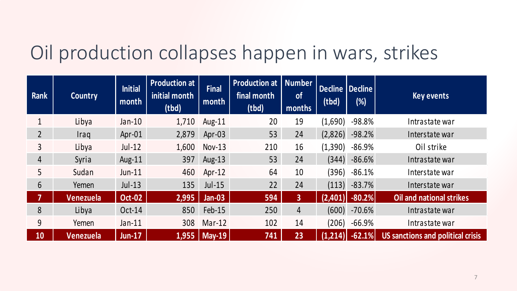#### Oil production collapses happen in wars, strikes

| <b>Rank</b>    | <b>Country</b>   | <b>Initial</b><br>month | <b>Production at</b><br>initial month<br>(tbd) | <b>Final</b><br>month    | <b>Production at   Number</b><br>final month<br>(tbd) | <b>of</b><br>months | Decline   Decline  <br>(tbd) | $(\%)$          | Key events                        |
|----------------|------------------|-------------------------|------------------------------------------------|--------------------------|-------------------------------------------------------|---------------------|------------------------------|-----------------|-----------------------------------|
|                | Libya            | $Jan-10$                | 1,710                                          | Aug-11                   | 20                                                    | 19                  | (1,690)                      | $-98.8%$        | Intrastate war                    |
| $\overline{2}$ | <i>Iraq</i>      | $Apr-01$                | 2,879                                          | Apr $-03$                | 53                                                    | 24                  | (2,826)                      | $-98.2%$        | Interstate war                    |
| $\overline{3}$ | Libya            | $Jul-12$                | 1,600                                          | $Nov-13$                 | 210                                                   | 16                  | (1,390)                      | $-86.9%$        | Oil strike                        |
| $\overline{4}$ | Syria            | Aug- $11$               | 397                                            | Aug-13                   | 53                                                    | 24                  | (344)                        | $-86.6%$        | Intrastate war                    |
| 5              | Sudan            | $Jun-11$                | 460                                            | $Apr-12$                 | 64                                                    | 10                  | (396)                        | $-86.1%$        | Interstate war                    |
| 6              | Yemen            | $Jul-13$                | 135                                            | $Jul-15$                 | 22                                                    | 24                  |                              | $(113) - 83.7%$ | Interstate war                    |
| 7              | Venezuela        | <b>Oct-02</b>           | 2,995                                          | <b>Jan-03</b>            | 594                                                   | 3 <sup>1</sup>      | (2,401)                      | $-80.2%$        | Oil and national strikes          |
| 8              | Libya            | Oct-14                  | 850                                            | $Feb-15$                 | 250                                                   | $\overline{4}$      | (600)                        | $-70.6%$        | Intrastate war                    |
| 9              | Yemen            | $Jan-11$                | 308                                            | $Mar-12$                 | 102                                                   | 14                  | (206)                        | $-66.9%$        | Intrastate war                    |
| 10             | <b>Venezuela</b> | <b>Jun-17</b>           | 1,955                                          | $\sqrt{\mathsf{May-19}}$ | 741                                                   | 23                  | $(1,2\overline{14})$         | $-62.1%$        | US sanctions and political crisis |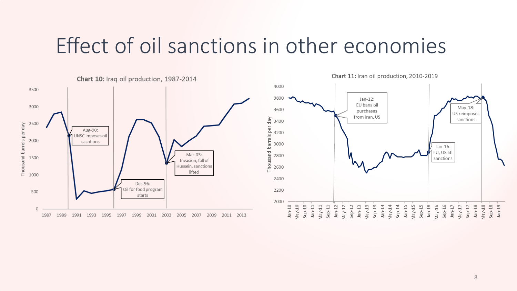#### Effect of oil sanctions in other economies

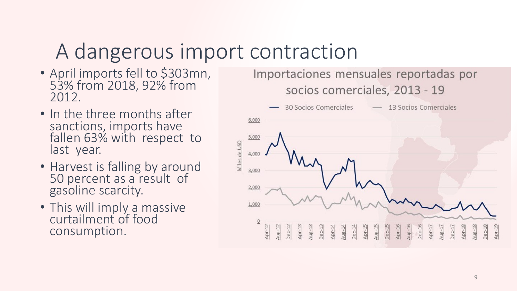## A dangerous import contraction

- April imports fell to \$303mn, 53% from 2018, 92% from 2012.
- In the three months after sanctions, imports have fallen 63% with respect to last year.
- Harvest is falling by around 50 percent as a result of gasoline scarcity.
- This will imply a massive curtailment of food consumption.

Importaciones mensuales reportadas por socios comerciales, 2013 - 19